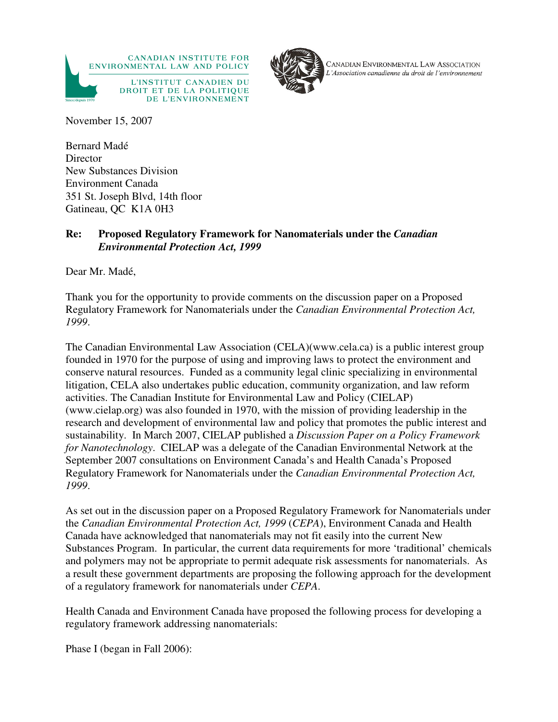



CANADIAN ENVIRONMENTAL LAW ASSOCIATION L'Association canadienne du droit de l'environnement

November 15, 2007

Bernard Madé **Director** New Substances Division Environment Canada 351 St. Joseph Blvd, 14th floor Gatineau, QC K1A 0H3

## **Re: Proposed Regulatory Framework for Nanomaterials under the** *Canadian Environmental Protection Act, 1999*

Dear Mr. Madé,

Thank you for the opportunity to provide comments on the discussion paper on a Proposed Regulatory Framework for Nanomaterials under the *Canadian Environmental Protection Act, 1999*.

The Canadian Environmental Law Association (CELA)(www.cela.ca) is a public interest group founded in 1970 for the purpose of using and improving laws to protect the environment and conserve natural resources. Funded as a community legal clinic specializing in environmental litigation, CELA also undertakes public education, community organization, and law reform activities. The Canadian Institute for Environmental Law and Policy (CIELAP) (www.cielap.org) was also founded in 1970, with the mission of providing leadership in the research and development of environmental law and policy that promotes the public interest and sustainability. In March 2007, CIELAP published a *Discussion Paper on a Policy Framework for Nanotechnology*. CIELAP was a delegate of the Canadian Environmental Network at the September 2007 consultations on Environment Canada's and Health Canada's Proposed Regulatory Framework for Nanomaterials under the *Canadian Environmental Protection Act, 1999*.

As set out in the discussion paper on a Proposed Regulatory Framework for Nanomaterials under the *Canadian Environmental Protection Act, 1999* (*CEPA*), Environment Canada and Health Canada have acknowledged that nanomaterials may not fit easily into the current New Substances Program. In particular, the current data requirements for more 'traditional' chemicals and polymers may not be appropriate to permit adequate risk assessments for nanomaterials. As a result these government departments are proposing the following approach for the development of a regulatory framework for nanomaterials under *CEPA*.

Health Canada and Environment Canada have proposed the following process for developing a regulatory framework addressing nanomaterials:

Phase I (began in Fall 2006):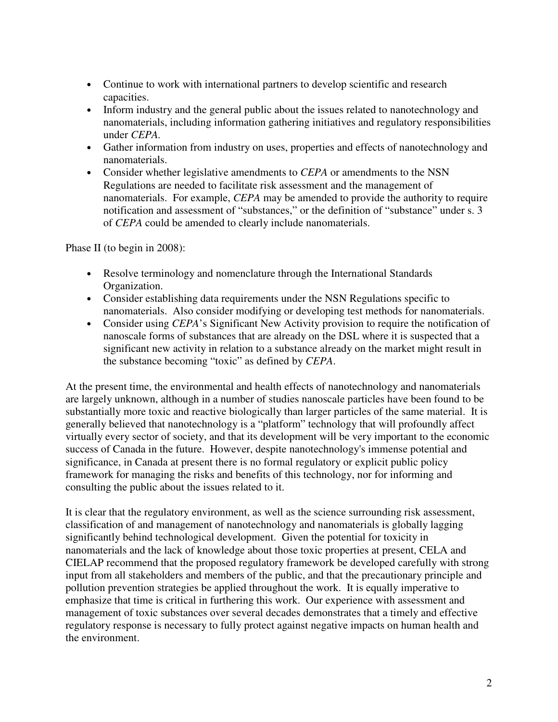- Continue to work with international partners to develop scientific and research capacities.
- Inform industry and the general public about the issues related to nanotechnology and nanomaterials, including information gathering initiatives and regulatory responsibilities under *CEPA.*
- Gather information from industry on uses, properties and effects of nanotechnology and nanomaterials.
- Consider whether legislative amendments to *CEPA* or amendments to the NSN Regulations are needed to facilitate risk assessment and the management of nanomaterials. For example, *CEPA* may be amended to provide the authority to require notification and assessment of "substances," or the definition of "substance" under s. 3 of *CEPA* could be amended to clearly include nanomaterials.

Phase II (to begin in 2008):

- Resolve terminology and nomenclature through the International Standards Organization.
- Consider establishing data requirements under the NSN Regulations specific to nanomaterials. Also consider modifying or developing test methods for nanomaterials.
- Consider using *CEPA*'s Significant New Activity provision to require the notification of nanoscale forms of substances that are already on the DSL where it is suspected that a significant new activity in relation to a substance already on the market might result in the substance becoming "toxic" as defined by *CEPA*.

At the present time, the environmental and health effects of nanotechnology and nanomaterials are largely unknown, although in a number of studies nanoscale particles have been found to be substantially more toxic and reactive biologically than larger particles of the same material. It is generally believed that nanotechnology is a "platform" technology that will profoundly affect virtually every sector of society, and that its development will be very important to the economic success of Canada in the future. However, despite nanotechnology's immense potential and significance, in Canada at present there is no formal regulatory or explicit public policy framework for managing the risks and benefits of this technology, nor for informing and consulting the public about the issues related to it.

It is clear that the regulatory environment, as well as the science surrounding risk assessment, classification of and management of nanotechnology and nanomaterials is globally lagging significantly behind technological development. Given the potential for toxicity in nanomaterials and the lack of knowledge about those toxic properties at present, CELA and CIELAP recommend that the proposed regulatory framework be developed carefully with strong input from all stakeholders and members of the public, and that the precautionary principle and pollution prevention strategies be applied throughout the work. It is equally imperative to emphasize that time is critical in furthering this work. Our experience with assessment and management of toxic substances over several decades demonstrates that a timely and effective regulatory response is necessary to fully protect against negative impacts on human health and the environment.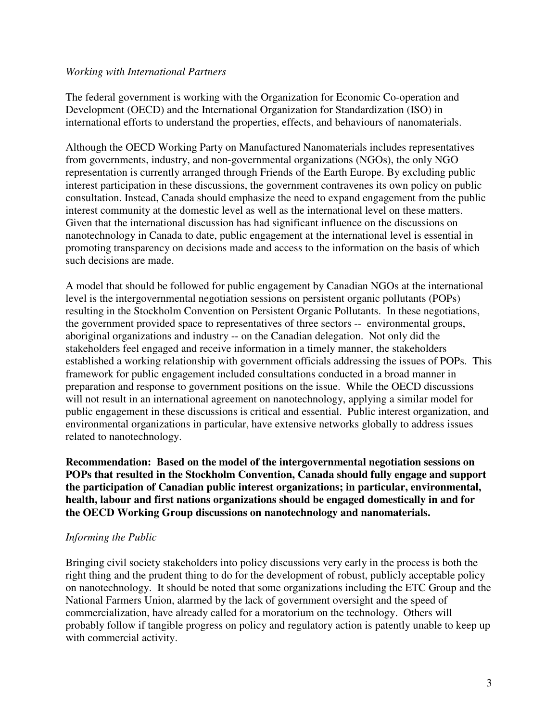#### *Working with International Partners*

The federal government is working with the Organization for Economic Co-operation and Development (OECD) and the International Organization for Standardization (ISO) in international efforts to understand the properties, effects, and behaviours of nanomaterials.

Although the OECD Working Party on Manufactured Nanomaterials includes representatives from governments, industry, and non-governmental organizations (NGOs), the only NGO representation is currently arranged through Friends of the Earth Europe. By excluding public interest participation in these discussions, the government contravenes its own policy on public consultation. Instead, Canada should emphasize the need to expand engagement from the public interest community at the domestic level as well as the international level on these matters. Given that the international discussion has had significant influence on the discussions on nanotechnology in Canada to date, public engagement at the international level is essential in promoting transparency on decisions made and access to the information on the basis of which such decisions are made.

A model that should be followed for public engagement by Canadian NGOs at the international level is the intergovernmental negotiation sessions on persistent organic pollutants (POPs) resulting in the Stockholm Convention on Persistent Organic Pollutants. In these negotiations, the government provided space to representatives of three sectors -- environmental groups, aboriginal organizations and industry -- on the Canadian delegation. Not only did the stakeholders feel engaged and receive information in a timely manner, the stakeholders established a working relationship with government officials addressing the issues of POPs. This framework for public engagement included consultations conducted in a broad manner in preparation and response to government positions on the issue. While the OECD discussions will not result in an international agreement on nanotechnology, applying a similar model for public engagement in these discussions is critical and essential. Public interest organization, and environmental organizations in particular, have extensive networks globally to address issues related to nanotechnology.

**Recommendation: Based on the model of the intergovernmental negotiation sessions on POPs that resulted in the Stockholm Convention, Canada should fully engage and support the participation of Canadian public interest organizations; in particular, environmental, health, labour and first nations organizations should be engaged domestically in and for the OECD Working Group discussions on nanotechnology and nanomaterials.**

## *Informing the Public*

Bringing civil society stakeholders into policy discussions very early in the process is both the right thing and the prudent thing to do for the development of robust, publicly acceptable policy on nanotechnology. It should be noted that some organizations including the ETC Group and the National Farmers Union, alarmed by the lack of government oversight and the speed of commercialization, have already called for a moratorium on the technology. Others will probably follow if tangible progress on policy and regulatory action is patently unable to keep up with commercial activity.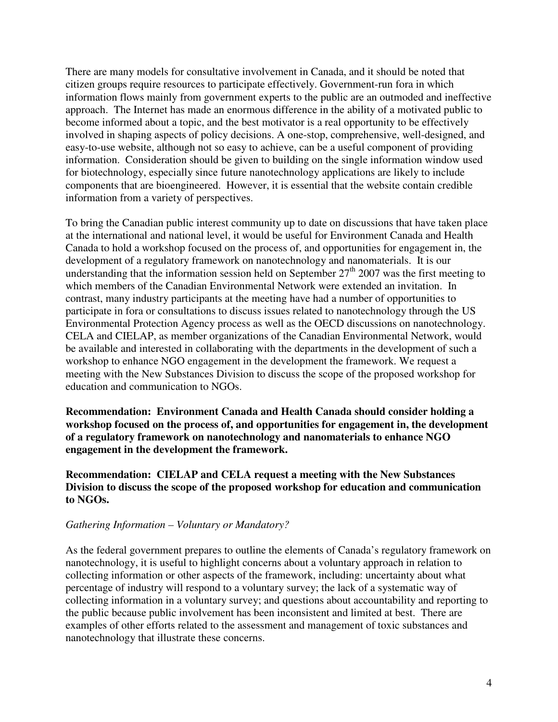There are many models for consultative involvement in Canada, and it should be noted that citizen groups require resources to participate effectively. Government-run fora in which information flows mainly from government experts to the public are an outmoded and ineffective approach. The Internet has made an enormous difference in the ability of a motivated public to become informed about a topic, and the best motivator is a real opportunity to be effectively involved in shaping aspects of policy decisions. A one-stop, comprehensive, well-designed, and easy-to-use website, although not so easy to achieve, can be a useful component of providing information. Consideration should be given to building on the single information window used for biotechnology, especially since future nanotechnology applications are likely to include components that are bioengineered. However, it is essential that the website contain credible information from a variety of perspectives.

To bring the Canadian public interest community up to date on discussions that have taken place at the international and national level, it would be useful for Environment Canada and Health Canada to hold a workshop focused on the process of, and opportunities for engagement in, the development of a regulatory framework on nanotechnology and nanomaterials. It is our understanding that the information session held on September  $27<sup>th</sup>$  2007 was the first meeting to which members of the Canadian Environmental Network were extended an invitation. In contrast, many industry participants at the meeting have had a number of opportunities to participate in fora or consultations to discuss issues related to nanotechnology through the US Environmental Protection Agency process as well as the OECD discussions on nanotechnology. CELA and CIELAP, as member organizations of the Canadian Environmental Network, would be available and interested in collaborating with the departments in the development of such a workshop to enhance NGO engagement in the development the framework. We request a meeting with the New Substances Division to discuss the scope of the proposed workshop for education and communication to NGOs.

**Recommendation: Environment Canada and Health Canada should consider holding a workshop focused on the process of, and opportunities for engagement in, the development of a regulatory framework on nanotechnology and nanomaterials to enhance NGO engagement in the development the framework.** 

**Recommendation: CIELAP and CELA request a meeting with the New Substances Division to discuss the scope of the proposed workshop for education and communication to NGOs.** 

## *Gathering Information – Voluntary or Mandatory?*

As the federal government prepares to outline the elements of Canada's regulatory framework on nanotechnology, it is useful to highlight concerns about a voluntary approach in relation to collecting information or other aspects of the framework, including: uncertainty about what percentage of industry will respond to a voluntary survey; the lack of a systematic way of collecting information in a voluntary survey; and questions about accountability and reporting to the public because public involvement has been inconsistent and limited at best. There are examples of other efforts related to the assessment and management of toxic substances and nanotechnology that illustrate these concerns.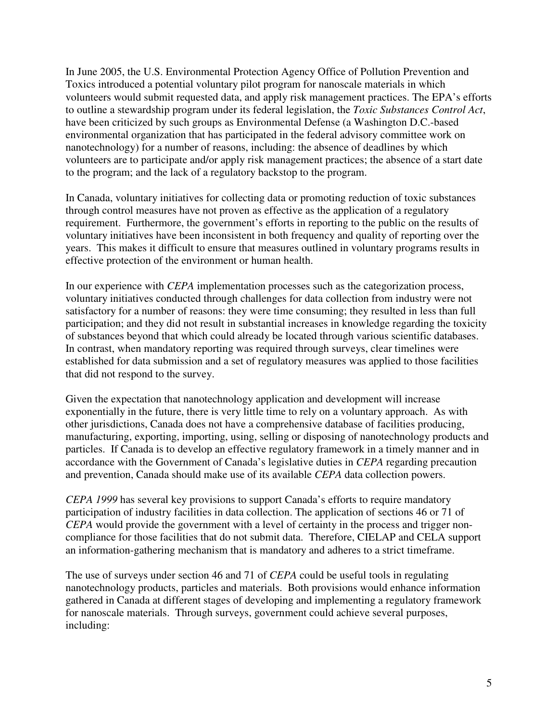In June 2005, the U.S. Environmental Protection Agency Office of Pollution Prevention and Toxics introduced a potential voluntary pilot program for nanoscale materials in which volunteers would submit requested data, and apply risk management practices. The EPA's efforts to outline a stewardship program under its federal legislation, the *Toxic Substances Control Act*, have been criticized by such groups as Environmental Defense (a Washington D.C.-based environmental organization that has participated in the federal advisory committee work on nanotechnology) for a number of reasons, including: the absence of deadlines by which volunteers are to participate and/or apply risk management practices; the absence of a start date to the program; and the lack of a regulatory backstop to the program.

In Canada, voluntary initiatives for collecting data or promoting reduction of toxic substances through control measures have not proven as effective as the application of a regulatory requirement. Furthermore, the government's efforts in reporting to the public on the results of voluntary initiatives have been inconsistent in both frequency and quality of reporting over the years. This makes it difficult to ensure that measures outlined in voluntary programs results in effective protection of the environment or human health.

In our experience with *CEPA* implementation processes such as the categorization process, voluntary initiatives conducted through challenges for data collection from industry were not satisfactory for a number of reasons: they were time consuming; they resulted in less than full participation; and they did not result in substantial increases in knowledge regarding the toxicity of substances beyond that which could already be located through various scientific databases. In contrast, when mandatory reporting was required through surveys, clear timelines were established for data submission and a set of regulatory measures was applied to those facilities that did not respond to the survey.

Given the expectation that nanotechnology application and development will increase exponentially in the future, there is very little time to rely on a voluntary approach. As with other jurisdictions, Canada does not have a comprehensive database of facilities producing, manufacturing, exporting, importing, using, selling or disposing of nanotechnology products and particles. If Canada is to develop an effective regulatory framework in a timely manner and in accordance with the Government of Canada's legislative duties in *CEPA* regarding precaution and prevention, Canada should make use of its available *CEPA* data collection powers.

*CEPA 1999* has several key provisions to support Canada's efforts to require mandatory participation of industry facilities in data collection. The application of sections 46 or 71 of *CEPA* would provide the government with a level of certainty in the process and trigger noncompliance for those facilities that do not submit data. Therefore, CIELAP and CELA support an information-gathering mechanism that is mandatory and adheres to a strict timeframe.

The use of surveys under section 46 and 71 of *CEPA* could be useful tools in regulating nanotechnology products, particles and materials. Both provisions would enhance information gathered in Canada at different stages of developing and implementing a regulatory framework for nanoscale materials. Through surveys, government could achieve several purposes, including: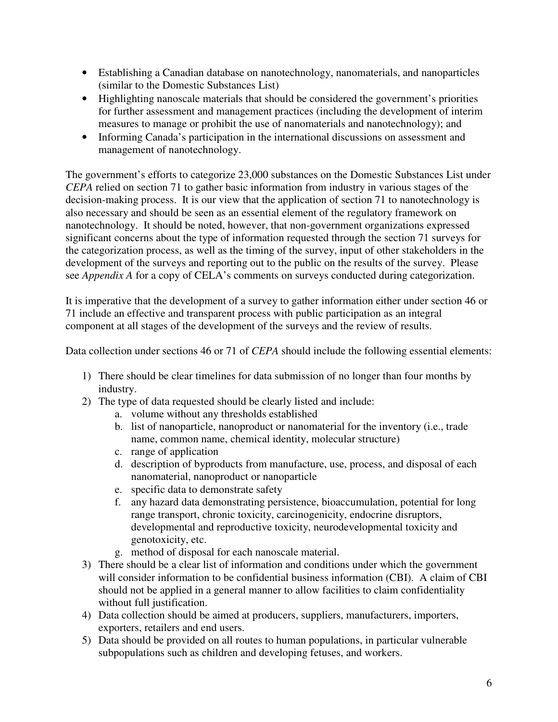- Establishing a Canadian database on nanotechnology, nanomaterials, and nanoparticles (similar to the Domestic Substances List)
- Highlighting nanoscale materials that should be considered the government's priorities for further assessment and management practices (including the development of interim measures to manage or prohibit the use of nanomaterials and nanotechnology); and
- Informing Canada's participation in the international discussions on assessment and management of nanotechnology.

The government's efforts to categorize 23,000 substances on the Domestic Substances List under *CEPA* relied on section 71 to gather basic information from industry in various stages of the decision-making process. It is our view that the application of section 71 to nanotechnology is also necessary and should be seen as an essential element of the regulatory framework on nanotechnology. It should be noted, however, that non-government organizations expressed significant concerns about the type of information requested through the section 71 surveys for the categorization process, as well as the timing of the survey, input of other stakeholders in the development of the surveys and reporting out to the public on the results of the survey. Please see *Appendix A* for a copy of CELA's comments on surveys conducted during categorization.

It is imperative that the development of a survey to gather information either under section 46 or 71 include an effective and transparent process with public participation as an integral component at all stages of the development of the surveys and the review of results.

Data collection under sections 46 or 71 of *CEPA* should include the following essential elements:

- 1) There should be clear timelines for data submission of no longer than four months by industry.
- 2) The type of data requested should be clearly listed and include:
	- a. volume without any thresholds established
	- b. list of nanoparticle, nanoproduct or nanomaterial for the inventory (i.e., trade name, common name, chemical identity, molecular structure)
	- c. range of application
	- d. description of byproducts from manufacture, use, process, and disposal of each nanomaterial, nanoproduct or nanoparticle
	- e. specific data to demonstrate safety
	- f. any hazard data demonstrating persistence, bioaccumulation, potential for long range transport, chronic toxicity, carcinogenicity, endocrine disruptors, developmental and reproductive toxicity, neurodevelopmental toxicity and genotoxicity, etc.
	- g. method of disposal for each nanoscale material.
- 3) There should be a clear list of information and conditions under which the government will consider information to be confidential business information (CBI). A claim of CBI should not be applied in a general manner to allow facilities to claim confidentiality without full justification.
- 4) Data collection should be aimed at producers, suppliers, manufacturers, importers, exporters, retailers and end users.
- 5) Data should be provided on all routes to human populations, in particular vulnerable subpopulations such as children and developing fetuses, and workers.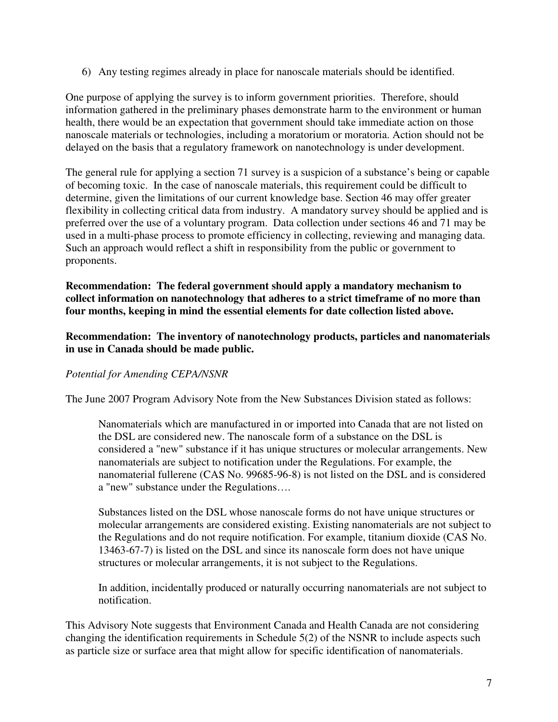6) Any testing regimes already in place for nanoscale materials should be identified.

One purpose of applying the survey is to inform government priorities. Therefore, should information gathered in the preliminary phases demonstrate harm to the environment or human health, there would be an expectation that government should take immediate action on those nanoscale materials or technologies, including a moratorium or moratoria. Action should not be delayed on the basis that a regulatory framework on nanotechnology is under development.

The general rule for applying a section 71 survey is a suspicion of a substance's being or capable of becoming toxic. In the case of nanoscale materials, this requirement could be difficult to determine, given the limitations of our current knowledge base. Section 46 may offer greater flexibility in collecting critical data from industry. A mandatory survey should be applied and is preferred over the use of a voluntary program. Data collection under sections 46 and 71 may be used in a multi-phase process to promote efficiency in collecting, reviewing and managing data. Such an approach would reflect a shift in responsibility from the public or government to proponents.

**Recommendation: The federal government should apply a mandatory mechanism to collect information on nanotechnology that adheres to a strict timeframe of no more than four months, keeping in mind the essential elements for date collection listed above.** 

**Recommendation: The inventory of nanotechnology products, particles and nanomaterials in use in Canada should be made public.** 

## *Potential for Amending CEPA/NSNR*

The June 2007 Program Advisory Note from the New Substances Division stated as follows:

Nanomaterials which are manufactured in or imported into Canada that are not listed on the DSL are considered new. The nanoscale form of a substance on the DSL is considered a "new" substance if it has unique structures or molecular arrangements. New nanomaterials are subject to notification under the Regulations. For example, the nanomaterial fullerene (CAS No. 99685-96-8) is not listed on the DSL and is considered a "new" substance under the Regulations….

Substances listed on the DSL whose nanoscale forms do not have unique structures or molecular arrangements are considered existing. Existing nanomaterials are not subject to the Regulations and do not require notification. For example, titanium dioxide (CAS No. 13463-67-7) is listed on the DSL and since its nanoscale form does not have unique structures or molecular arrangements, it is not subject to the Regulations.

In addition, incidentally produced or naturally occurring nanomaterials are not subject to notification.

This Advisory Note suggests that Environment Canada and Health Canada are not considering changing the identification requirements in Schedule 5(2) of the NSNR to include aspects such as particle size or surface area that might allow for specific identification of nanomaterials.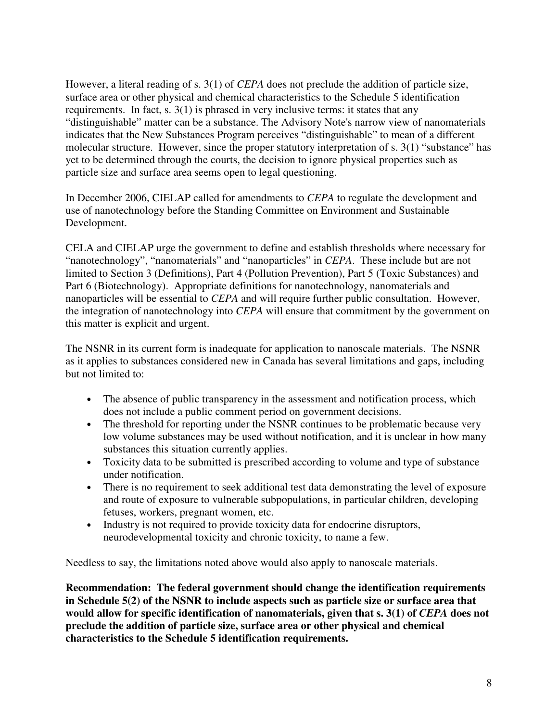However, a literal reading of s. 3(1) of *CEPA* does not preclude the addition of particle size, surface area or other physical and chemical characteristics to the Schedule 5 identification requirements. In fact, s. 3(1) is phrased in very inclusive terms: it states that any "distinguishable" matter can be a substance. The Advisory Note's narrow view of nanomaterials indicates that the New Substances Program perceives "distinguishable" to mean of a different molecular structure. However, since the proper statutory interpretation of s. 3(1) "substance" has yet to be determined through the courts, the decision to ignore physical properties such as particle size and surface area seems open to legal questioning.

In December 2006, CIELAP called for amendments to *CEPA* to regulate the development and use of nanotechnology before the Standing Committee on Environment and Sustainable Development.

CELA and CIELAP urge the government to define and establish thresholds where necessary for "nanotechnology", "nanomaterials" and "nanoparticles" in *CEPA*. These include but are not limited to Section 3 (Definitions), Part 4 (Pollution Prevention), Part 5 (Toxic Substances) and Part 6 (Biotechnology). Appropriate definitions for nanotechnology, nanomaterials and nanoparticles will be essential to *CEPA* and will require further public consultation. However, the integration of nanotechnology into *CEPA* will ensure that commitment by the government on this matter is explicit and urgent.

The NSNR in its current form is inadequate for application to nanoscale materials. The NSNR as it applies to substances considered new in Canada has several limitations and gaps, including but not limited to:

- The absence of public transparency in the assessment and notification process, which does not include a public comment period on government decisions.
- The threshold for reporting under the NSNR continues to be problematic because very low volume substances may be used without notification, and it is unclear in how many substances this situation currently applies.
- Toxicity data to be submitted is prescribed according to volume and type of substance under notification.
- There is no requirement to seek additional test data demonstrating the level of exposure and route of exposure to vulnerable subpopulations, in particular children, developing fetuses, workers, pregnant women, etc.
- Industry is not required to provide toxicity data for endocrine disruptors, neurodevelopmental toxicity and chronic toxicity, to name a few.

Needless to say, the limitations noted above would also apply to nanoscale materials.

**Recommendation: The federal government should change the identification requirements in Schedule 5(2) of the NSNR to include aspects such as particle size or surface area that**  would allow for specific identification of nanomaterials, given that s. 3(1) of *CEPA* does not **preclude the addition of particle size, surface area or other physical and chemical characteristics to the Schedule 5 identification requirements.**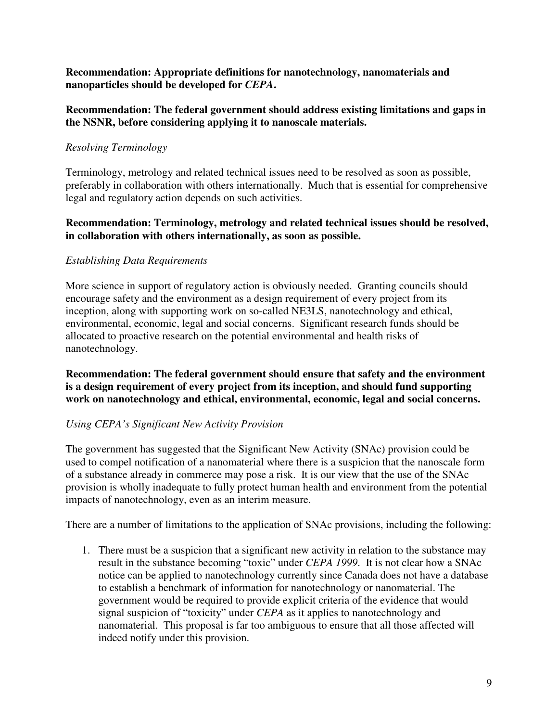**Recommendation: Appropriate definitions for nanotechnology, nanomaterials and nanoparticles should be developed for** *CEPA***.** 

## **Recommendation: The federal government should address existing limitations and gaps in the NSNR, before considering applying it to nanoscale materials.**

## *Resolving Terminology*

Terminology, metrology and related technical issues need to be resolved as soon as possible, preferably in collaboration with others internationally. Much that is essential for comprehensive legal and regulatory action depends on such activities.

## **Recommendation: Terminology, metrology and related technical issues should be resolved, in collaboration with others internationally, as soon as possible.**

## *Establishing Data Requirements*

More science in support of regulatory action is obviously needed. Granting councils should encourage safety and the environment as a design requirement of every project from its inception, along with supporting work on so-called NE3LS, nanotechnology and ethical, environmental, economic, legal and social concerns. Significant research funds should be allocated to proactive research on the potential environmental and health risks of nanotechnology.

**Recommendation: The federal government should ensure that safety and the environment is a design requirement of every project from its inception, and should fund supporting work on nanotechnology and ethical, environmental, economic, legal and social concerns.** 

## *Using CEPA's Significant New Activity Provision*

The government has suggested that the Significant New Activity (SNAc) provision could be used to compel notification of a nanomaterial where there is a suspicion that the nanoscale form of a substance already in commerce may pose a risk. It is our view that the use of the SNAc provision is wholly inadequate to fully protect human health and environment from the potential impacts of nanotechnology, even as an interim measure.

There are a number of limitations to the application of SNAc provisions, including the following:

1. There must be a suspicion that a significant new activity in relation to the substance may result in the substance becoming "toxic" under *CEPA 1999*. It is not clear how a SNAc notice can be applied to nanotechnology currently since Canada does not have a database to establish a benchmark of information for nanotechnology or nanomaterial. The government would be required to provide explicit criteria of the evidence that would signal suspicion of "toxicity" under *CEPA* as it applies to nanotechnology and nanomaterial. This proposal is far too ambiguous to ensure that all those affected will indeed notify under this provision.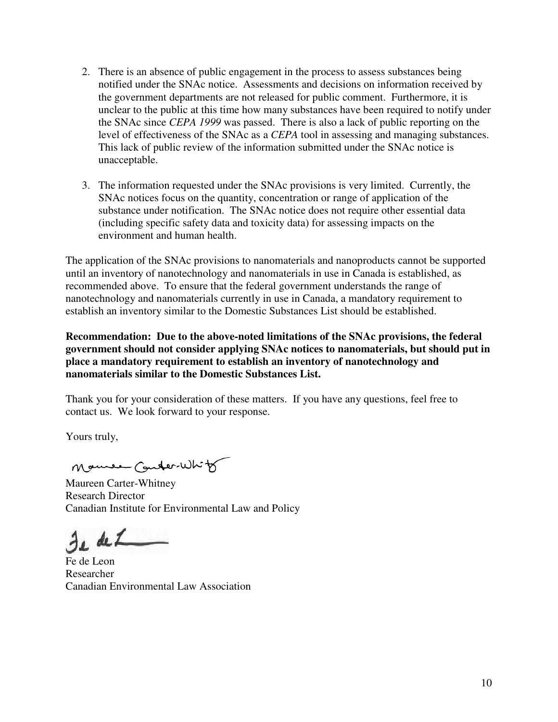- 2. There is an absence of public engagement in the process to assess substances being notified under the SNAc notice. Assessments and decisions on information received by the government departments are not released for public comment. Furthermore, it is unclear to the public at this time how many substances have been required to notify under the SNAc since *CEPA 1999* was passed. There is also a lack of public reporting on the level of effectiveness of the SNAc as a *CEPA* tool in assessing and managing substances. This lack of public review of the information submitted under the SNAc notice is unacceptable.
- 3. The information requested under the SNAc provisions is very limited. Currently, the SNAc notices focus on the quantity, concentration or range of application of the substance under notification. The SNAc notice does not require other essential data (including specific safety data and toxicity data) for assessing impacts on the environment and human health.

The application of the SNAc provisions to nanomaterials and nanoproducts cannot be supported until an inventory of nanotechnology and nanomaterials in use in Canada is established, as recommended above. To ensure that the federal government understands the range of nanotechnology and nanomaterials currently in use in Canada, a mandatory requirement to establish an inventory similar to the Domestic Substances List should be established.

**Recommendation: Due to the above-noted limitations of the SNAc provisions, the federal government should not consider applying SNAc notices to nanomaterials, but should put in place a mandatory requirement to establish an inventory of nanotechnology and nanomaterials similar to the Domestic Substances List.** 

Thank you for your consideration of these matters. If you have any questions, feel free to contact us. We look forward to your response.

Yours truly,

Mamer Conter-White

Maureen Carter-Whitney Research Director Canadian Institute for Environmental Law and Policy

Fe de Leon Researcher Canadian Environmental Law Association